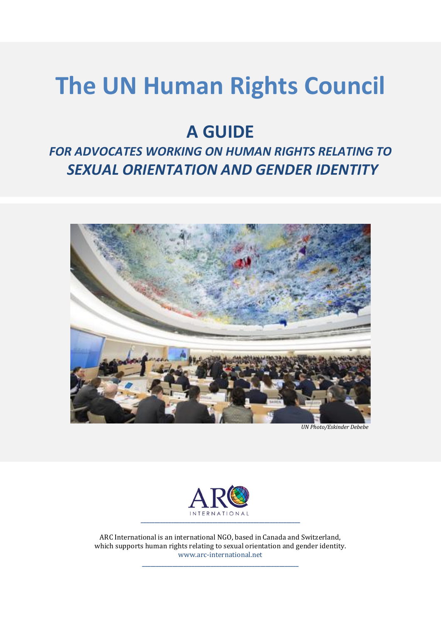# **The UN Human Rights Council**

# **A GUIDE**

# *FOR ADVOCATES WORKING ON HUMAN RIGHTS RELATING TO SEXUAL ORIENTATION AND GENDER IDENTITY*



 *UN Photo/Eskinder Debebe*



ARC International is an international NGO, based in Canada and Switzerland, which supports human rights relating to sexual orientation and gender identity. [www.arc-international.net](http://www.arc-international.net/)

**\_\_\_\_\_\_\_\_\_\_\_\_\_\_\_\_\_\_\_\_\_\_\_\_\_\_\_\_\_\_\_\_\_\_\_\_\_\_\_\_\_\_\_\_\_\_\_\_\_\_\_\_\_\_\_\_\_**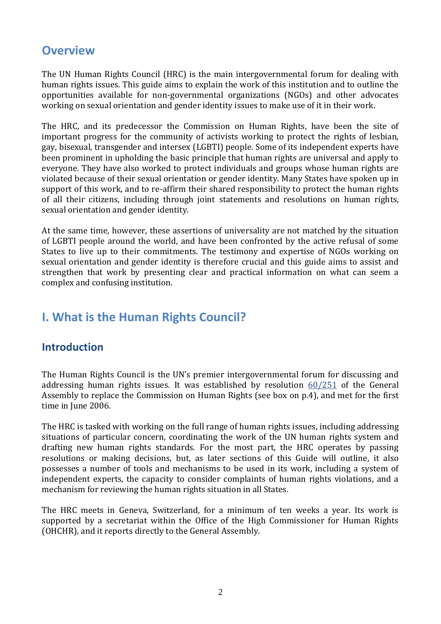# **Overview**

The UN Human Rights Council (HRC) is the main intergovernmental forum for dealing with human rights issues. This guide aims to explain the work of this institution and to outline the opportunities available for non-governmental organizations (NGOs) and other advocates working on sexual orientation and gender identity issues to make use of it in their work.

The HRC, and its predecessor the Commission on Human Rights, have been the site of important progress for the community of activists working to protect the rights of lesbian, gay, bisexual, transgender and intersex (LGBTI) people. Some of its independent experts have been prominent in upholding the basic principle that human rights are universal and apply to everyone. They have also worked to protect individuals and groups whose human rights are violated because of their sexual orientation or gender identity. Many States have spoken up in support of this work, and to re-affirm their shared responsibility to protect the human rights of all their citizens, including through joint statements and resolutions on human rights, sexual orientation and gender identity.

At the same time, however, these assertions of universality are not matched by the situation of LGBTI people around the world, and have been confronted by the active refusal of some States to live up to their commitments. The testimony and expertise of NGOs working on sexual orientation and gender identity is therefore crucial and this guide aims to assist and strengthen that work by presenting clear and practical information on what can seem a complex and confusing institution.

# **I. What is the Human Rights Council?**

#### **Introduction**

The Human Rights Council is the UN's premier intergovernmental forum for discussing and addressing human rights issues. It was established by resolution  $60/251$  of the General Assembly to replace the Commission on Human Rights (see box on p.4), and met for the first time in June 2006.

The HRC is tasked with working on the full range of human rights issues, including addressing situations of particular concern, coordinating the work of the UN human rights system and drafting new human rights standards. For the most part, the HRC operates by passing resolutions or making decisions, but, as later sections of this Guide will outline, it also possesses a number of tools and mechanisms to be used in its work, including a system of independent experts, the capacity to consider complaints of human rights violations, and a mechanism for reviewing the human rights situation in all States.

The HRC meets in Geneva, Switzerland, for a minimum of ten weeks a year. Its work is supported by a secretariat within the Office of the High Commissioner for Human Rights (OHCHR), and it reports directly to the General Assembly.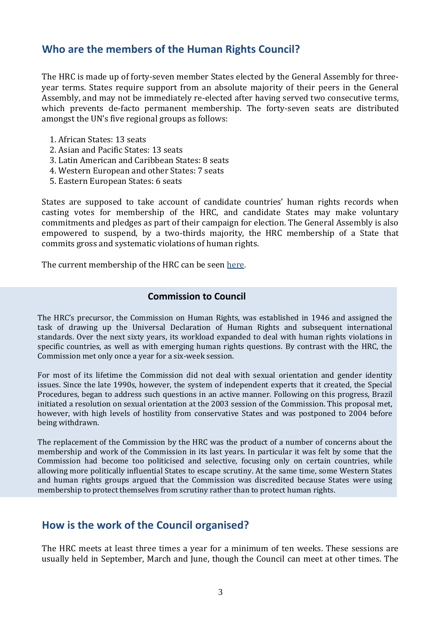#### **Who are the members of the Human Rights Council?**

The HRC is made up of forty-seven member States elected by the General Assembly for threeyear terms. States require support from an absolute majority of their peers in the General Assembly, and may not be immediately re-elected after having served two consecutive terms, which prevents de-facto permanent membership. The forty-seven seats are distributed amongst the UN's five regional groups as follows:

- 1. African States: 13 seats
- 2. Asian and Pacific States: 13 seats
- 3. Latin American and Caribbean States: 8 seats
- 4. Western European and other States: 7 seats
- 5. Eastern European States: 6 seats

States are supposed to take account of candidate countries' human rights records when casting votes for membership of the HRC, and candidate States may make voluntary commitments and pledges as part of their campaign for election. The General Assembly is also empowered to suspend, by a two-thirds majority, the HRC membership of a State that commits gross and systematic violations of human rights.

The current membership of the HRC can be seen [here.](http://www2.ohchr.org/english/bodies/hrcouncil/membership.htm)

#### **Commission to Council**

The HRC's precursor, the Commission on Human Rights, was established in 1946 and assigned the task of drawing up the Universal Declaration of Human Rights and subsequent international standards. Over the next sixty years, its workload expanded to deal with human rights violations in specific countries, as well as with emerging human rights questions. By contrast with the HRC, the Commission met only once a year for a six-week session.

For most of its lifetime the Commission did not deal with sexual orientation and gender identity issues. Since the late 1990s, however, the system of independent experts that it created, the Special Procedures, began to address such questions in an active manner. Following on this progress, Brazil initiated a resolution on sexual orientation at the 2003 session of the Commission. This proposal met, however, with high levels of hostility from conservative States and was postponed to 2004 before being withdrawn.

The replacement of the Commission by the HRC was the product of a number of concerns about the membership and work of the Commission in its last years. In particular it was felt by some that the Commission had become too politicised and selective, focusing only on certain countries, while allowing more politically influential States to escape scrutiny. At the same time, some Western States and human rights groups argued that the Commission was discredited because States were using membership to protect themselves from scrutiny rather than to protect human rights.

#### **How is the work of the Council organised?**

The HRC meets at least three times a year for a minimum of ten weeks. These sessions are usually held in September, March and June, though the Council can meet at other times. The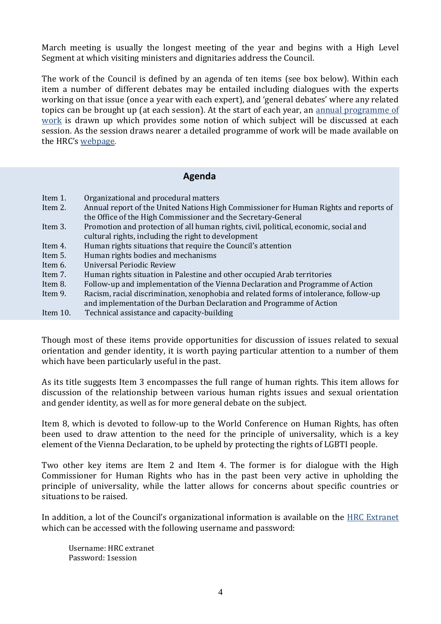March meeting is usually the longest meeting of the year and begins with a High Level Segment at which visiting ministers and dignitaries address the Council.

The work of the Council is defined by an agenda of ten items (see box below). Within each item a number of different debates may be entailed including dialogues with the experts working on that issue (once a year with each expert), and 'general debates' where any related topics can be brought up (at each session). At the start of each year, an [annual programme of](http://arc-international.net/wp-content/uploads/2015/01/APW-2015-English-as-of-9-January-2014-extranet.doc)  [work](http://arc-international.net/wp-content/uploads/2015/01/APW-2015-English-as-of-9-January-2014-extranet.doc) is drawn up which provides some notion of which subject will be discussed at each session. As the session draws nearer a detailed programme of work will be made available on the HRC's [webpage.](http://www.ohchr.org/EN/HRBodies/HRC/Pages/HRCIndex.aspx)

#### **Agenda**

| Item 1.     | Organizational and procedural matters                                                 |
|-------------|---------------------------------------------------------------------------------------|
| Item 2.     | Annual report of the United Nations High Commissioner for Human Rights and reports of |
|             | the Office of the High Commissioner and the Secretary-General                         |
| Item 3.     | Promotion and protection of all human rights, civil, political, economic, social and  |
|             | cultural rights, including the right to development                                   |
| Item 4.     | Human rights situations that require the Council's attention                          |
| Item 5.     | Human rights bodies and mechanisms                                                    |
| Item 6.     | Universal Periodic Review                                                             |
| Item 7.     | Human rights situation in Palestine and other occupied Arab territories               |
| Item 8.     | Follow-up and implementation of the Vienna Declaration and Programme of Action        |
| Item 9.     | Racism, racial discrimination, xenophobia and related forms of intolerance, follow-up |
|             | and implementation of the Durban Declaration and Programme of Action                  |
| Item $10$ . | Technical assistance and capacity-building                                            |

Though most of these items provide opportunities for discussion of issues related to sexual orientation and gender identity, it is worth paying particular attention to a number of them which have been particularly useful in the past.

As its title suggests Item 3 encompasses the full range of human rights. This item allows for discussion of the relationship between various human rights issues and sexual orientation and gender identity, as well as for more general debate on the subject.

Item 8, which is devoted to follow-up to the World Conference on Human Rights, has often been used to draw attention to the need for the principle of universality, which is a key element of the Vienna Declaration, to be upheld by protecting the rights of LGBTI people.

Two other key items are Item 2 and Item 4. The former is for dialogue with the High Commissioner for Human Rights who has in the past been very active in upholding the principle of universality, while the latter allows for concerns about specific countries or situations to be raised.

In addition, a lot of the Council's organizational information is available on the [HRC Extranet](http://www.ohchr.org/EN/HRBodies/HRC/Pages/HRCRegistration.aspx) which can be accessed with the following username and password:

Username: HRC extranet Password: 1session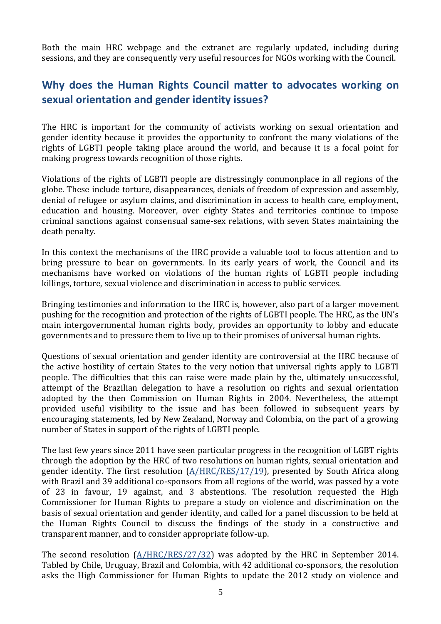Both the main HRC webpage and the extranet are regularly updated, including during sessions, and they are consequently very useful resources for NGOs working with the Council.

# **Why does the Human Rights Council matter to advocates working on sexual orientation and gender identity issues?**

The HRC is important for the community of activists working on sexual orientation and gender identity because it provides the opportunity to confront the many violations of the rights of LGBTI people taking place around the world, and because it is a focal point for making progress towards recognition of those rights.

Violations of the rights of LGBTI people are distressingly commonplace in all regions of the globe. These include torture, disappearances, denials of freedom of expression and assembly, denial of refugee or asylum claims, and discrimination in access to health care, employment, education and housing. Moreover, over eighty States and territories continue to impose criminal sanctions against consensual same-sex relations, with seven States maintaining the death penalty.

In this context the mechanisms of the HRC provide a valuable tool to focus attention and to bring pressure to bear on governments. In its early years of work, the Council and its mechanisms have worked on violations of the human rights of LGBTI people including killings, torture, sexual violence and discrimination in access to public services.

Bringing testimonies and information to the HRC is, however, also part of a larger movement pushing for the recognition and protection of the rights of LGBTI people. The HRC, as the UN's main intergovernmental human rights body, provides an opportunity to lobby and educate governments and to pressure them to live up to their promises of universal human rights.

Questions of sexual orientation and gender identity are controversial at the HRC because of the active hostility of certain States to the very notion that universal rights apply to LGBTI people. The difficulties that this can raise were made plain by the, ultimately unsuccessful, attempt of the Brazilian delegation to have a resolution on rights and sexual orientation adopted by the then Commission on Human Rights in 2004. Nevertheless, the attempt provided useful visibility to the issue and has been followed in subsequent years by encouraging statements, led by New Zealand, Norway and Colombia, on the part of a growing number of States in support of the rights of LGBTI people.

The last few years since 2011 have seen particular progress in the recognition of LGBT rights through the adoption by the HRC of two resolutions on human rights, sexual orientation and gender identity. The first resolution  $(A/HRC/RES/17/19)$ , presented by South Africa along with Brazil and 39 additional co-sponsors from all regions of the world, was passed by a vote of 23 in favour, 19 against, and 3 abstentions. The resolution requested the High Commissioner for Human Rights to prepare a study on violence and discrimination on the basis of sexual orientation and gender identity, and called for a panel discussion to be held at the Human Rights Council to discuss the findings of the study in a constructive and transparent manner, and to consider appropriate follow-up.

The second resolution  $(A/HRC/RES/27/32)$  was adopted by the HRC in September 2014. Tabled by Chile, Uruguay, Brazil and Colombia, with 42 additional co-sponsors, the resolution asks the High Commissioner for Human Rights to update the 2012 study on violence and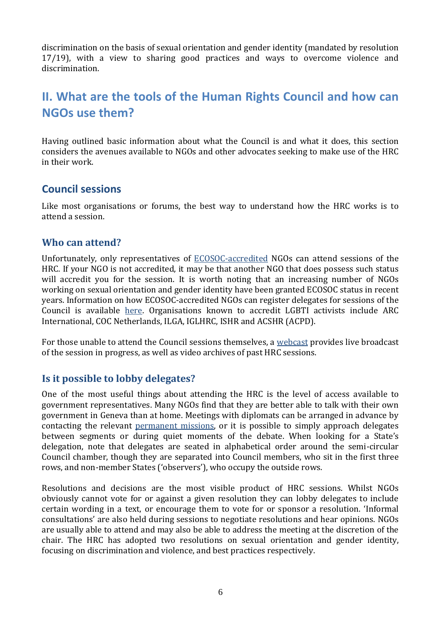discrimination on the basis of sexual orientation and gender identity (mandated by resolution 17/19), with a view to sharing good practices and ways to overcome violence and discrimination.

# **II. What are the tools of the Human Rights Council and how can NGOs use them?**

Having outlined basic information about what the Council is and what it does, this section considers the avenues available to NGOs and other advocates seeking to make use of the HRC in their work.

#### **Council sessions**

Like most organisations or forums, the best way to understand how the HRC works is to attend a session.

#### **Who can attend?**

Unfortunately, only representatives of [ECOSOC-accredited](http://www.un.org/esa/coordination/ngo/) NGOs can attend sessions of the HRC. If your NGO is not accredited, it may be that another NGO that does possess such status will accredit you for the session. It is worth noting that an increasing number of NGOs working on sexual orientation and gender identity have been granted ECOSOC status in recent years. Information on how ECOSOC-accredited NGOs can register delegates for sessions of the Council is available [here.](http://www.ohchr.org/EN/HRBodies/HRC/Pages/NgoParticipation.aspx) Organisations known to accredit LGBTI activists include ARC International, COC Netherlands, ILGA, IGLHRC, ISHR and ACSHR (ACPD).

For those unable to attend the Council sessions themselves, a [webcast](http://www.un.org/webcast/unhrc) provides live broadcast of the session in progress, as well as video archives of past HRC sessions.

#### **Is it possible to lobby delegates?**

One of the most useful things about attending the HRC is the level of access available to government representatives. Many NGOs find that they are better able to talk with their own government in Geneva than at home. Meetings with diplomats can be arranged in advance by contacting the relevant [permanent missions,](http://www.unog.ch/80256EE600582E34/(httpPages)/8CEC446B720477DA80256EF8004CB68C?OpenDocument&expand=1&count=10000) or it is possible to simply approach delegates between segments or during quiet moments of the debate. When looking for a State's delegation, note that delegates are seated in alphabetical order around the semi-circular Council chamber, though they are separated into Council members, who sit in the first three rows, and non-member States ('observers'), who occupy the outside rows.

Resolutions and decisions are the most visible product of HRC sessions. Whilst NGOs obviously cannot vote for or against a given resolution they can lobby delegates to include certain wording in a text, or encourage them to vote for or sponsor a resolution. 'Informal consultations' are also held during sessions to negotiate resolutions and hear opinions. NGOs are usually able to attend and may also be able to address the meeting at the discretion of the chair. The HRC has adopted two resolutions on sexual orientation and gender identity, focusing on discrimination and violence, and best practices respectively.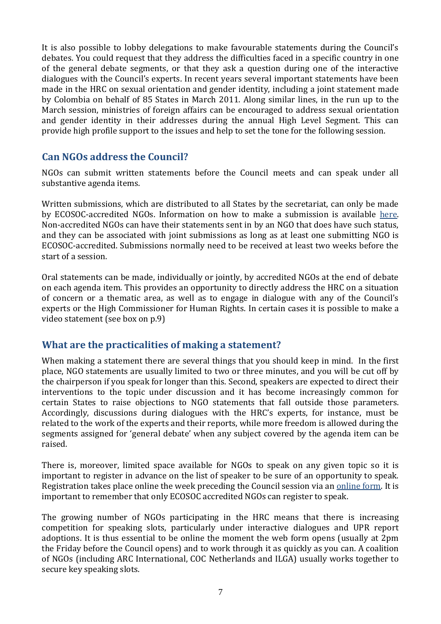It is also possible to lobby delegations to make favourable statements during the Council's debates. You could request that they address the difficulties faced in a specific country in one of the general debate segments, or that they ask a question during one of the interactive dialogues with the Council's experts. In recent years several important statements have been made in the HRC on sexual orientation and gender identity, including a joint statement made by Colombia on behalf of 85 States in March 2011. Along similar lines, in the run up to the March session, ministries of foreign affairs can be encouraged to address sexual orientation and gender identity in their addresses during the annual High Level Segment. This can provide high profile support to the issues and help to set the tone for the following session.

#### **Can NGOs address the Council?**

NGOs can submit written statements before the Council meets and can speak under all substantive agenda items.

Written submissions, which are distributed to all States by the secretariat, can only be made by ECOSOC-accredited NGOs. Information on how to make a submission is available [here.](http://www2.ohchr.org/english/bodies/hrcouncil/guidelines.htm) Non-accredited NGOs can have their statements sent in by an NGO that does have such status, and they can be associated with joint submissions as long as at least one submitting NGO is ECOSOC-accredited. Submissions normally need to be received at least two weeks before the start of a session.

Oral statements can be made, individually or jointly, by accredited NGOs at the end of debate on each agenda item. This provides an opportunity to directly address the HRC on a situation of concern or a thematic area, as well as to engage in dialogue with any of the Council's experts or the High Commissioner for Human Rights. In certain cases it is possible to make a video statement (see box on p.9)

#### **What are the practicalities of making a statement?**

When making a statement there are several things that you should keep in mind. In the first place, NGO statements are usually limited to two or three minutes, and you will be cut off by the chairperson if you speak for longer than this. Second, speakers are expected to direct their interventions to the topic under discussion and it has become increasingly common for certain States to raise objections to NGO statements that fall outside those parameters. Accordingly, discussions during dialogues with the HRC's experts, for instance, must be related to the work of the experts and their reports, while more freedom is allowed during the segments assigned for 'general debate' when any subject covered by the agenda item can be raised.

There is, moreover, limited space available for NGOs to speak on any given topic so it is important to register in advance on the list of speaker to be sure of an opportunity to speak. Registration takes place online the week preceding the Council session via an [online form.](https://ngoreg.ohchr.org/) It is important to remember that only ECOSOC accredited NGOs can register to speak.

The growing number of NGOs participating in the HRC means that there is increasing competition for speaking slots, particularly under interactive dialogues and UPR report adoptions. It is thus essential to be online the moment the web form opens (usually at 2pm the Friday before the Council opens) and to work through it as quickly as you can. A coalition of NGOs (including ARC International, COC Netherlands and ILGA) usually works together to secure key speaking slots.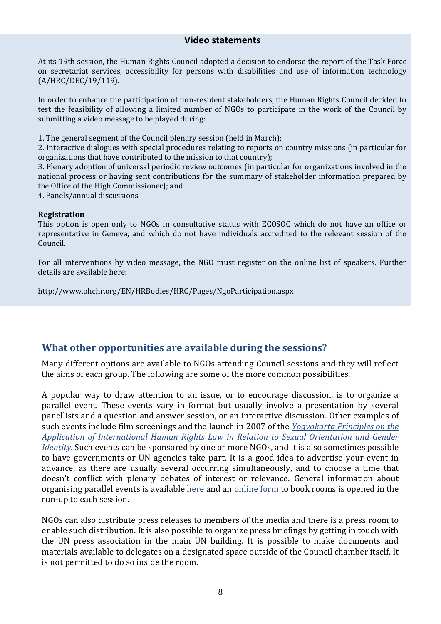#### **Video statements**

At its 19th session, the Human Rights Council adopted a decision to endorse the report of the Task Force on secretariat services, accessibility for persons with disabilities and use of information technology (A/HRC/DEC/19/119).

In order to enhance the participation of non-resident stakeholders, the Human Rights Council decided to test the feasibility of allowing a limited number of NGOs to participate in the work of the Council by submitting a video message to be played during:

1. The general segment of the Council plenary session (held in March);

2. Interactive dialogues with special procedures relating to reports on country missions (in particular for organizations that have contributed to the mission to that country);

3. Plenary adoption of universal periodic review outcomes (in particular for organizations involved in the national process or having sent contributions for the summary of stakeholder information prepared by the Office of the High Commissioner); and

4. Panels/annual discussions.

#### **Registration**

This option is open only to NGOs in consultative status with ECOSOC which do not have an office or representative in Geneva, and which do not have individuals accredited to the relevant session of the Council.

For all interventions by video message, the NGO must register on the online list of speakers. Further details are available here:

http://www.ohchr.org/EN/HRBodies/HRC/Pages/NgoParticipation.aspx

#### **What other opportunities are available during the sessions?**

Many different options are available to NGOs attending Council sessions and they will reflect the aims of each group. The following are some of the more common possibilities.

A popular way to draw attention to an issue, or to encourage discussion, is to organize a parallel event. These events vary in format but usually involve a presentation by several panellists and a question and answer session, or an interactive discussion. Other examples of such events include film screenings and the launch in 2007 of the *[Yogyakarta Principles on the](http://www.yogyakartaprinciples.org/)  [Application of International Human Rights Law in Relation to Sexual Orientation and Gender](http://www.yogyakartaprinciples.org/)  [Identity.](http://www.yogyakartaprinciples.org/)* Such events can be sponsored by one or more NGOs, and it is also sometimes possible to have governments or UN agencies take part. It is a good idea to advertise your event in advance, as there are usually several occurring simultaneously, and to choose a time that doesn't conflict with plenary debates of interest or relevance. General information about organising parallel events is available [here](http://www.ohchr.org/EN/HRBodies/HRC/Pages/NgoParticipation.aspx) and an [online form](http://www.surveymonkey.com/s/ZHKWFZN) to book rooms is opened in the run-up to each session.

NGOs can also distribute press releases to members of the media and there is a press room to enable such distribution. It is also possible to organize press briefings by getting in touch with the UN press association in the main UN building. It is possible to make documents and materials available to delegates on a designated space outside of the Council chamber itself. It is not permitted to do so inside the room.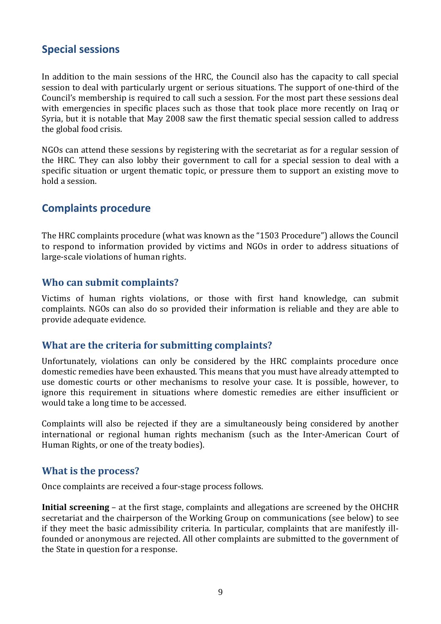#### **Special sessions**

In addition to the main sessions of the HRC, the Council also has the capacity to call special session to deal with particularly urgent or serious situations. The support of one-third of the Council's membership is required to call such a session. For the most part these sessions deal with emergencies in specific places such as those that took place more recently on Iraq or Syria, but it is notable that May 2008 saw the first thematic special session called to address the global food crisis.

NGOs can attend these sessions by registering with the secretariat as for a regular session of the HRC. They can also lobby their government to call for a special session to deal with a specific situation or urgent thematic topic, or pressure them to support an existing move to hold a session.

#### **Complaints procedure**

The HRC complaints procedure (what was known as the "1503 Procedure") allows the Council to respond to information provided by victims and NGOs in order to address situations of large-scale violations of human rights.

#### **Who can submit complaints?**

Victims of human rights violations, or those with first hand knowledge, can submit complaints. NGOs can also do so provided their information is reliable and they are able to provide adequate evidence.

#### **What are the criteria for submitting complaints?**

Unfortunately, violations can only be considered by the HRC complaints procedure once domestic remedies have been exhausted. This means that you must have already attempted to use domestic courts or other mechanisms to resolve your case. It is possible, however, to ignore this requirement in situations where domestic remedies are either insufficient or would take a long time to be accessed.

Complaints will also be rejected if they are a simultaneously being considered by another international or regional human rights mechanism (such as the Inter-American Court of Human Rights, or one of the treaty bodies).

#### **What is the process?**

Once complaints are received a four-stage process follows.

**Initial screening** – at the first stage, complaints and allegations are screened by the OHCHR secretariat and the chairperson of the Working Group on communications (see below) to see if they meet the basic admissibility criteria. In particular, complaints that are manifestly illfounded or anonymous are rejected. All other complaints are submitted to the government of the State in question for a response.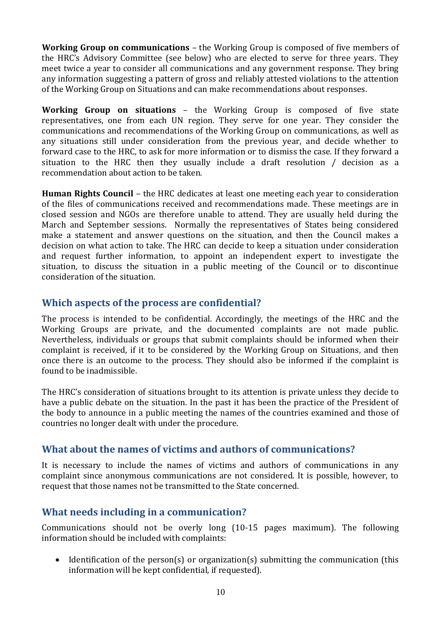**Working Group on communications** – the Working Group is composed of five members of the HRC's Advisory Committee (see below) who are elected to serve for three years. They meet twice a year to consider all communications and any government response. They bring any information suggesting a pattern of gross and reliably attested violations to the attention of the Working Group on Situations and can make recommendations about responses.

**Working Group on situations** – the Working Group is composed of five state representatives, one from each UN region. They serve for one year. They consider the communications and recommendations of the Working Group on communications, as well as any situations still under consideration from the previous year, and decide whether to forward case to the HRC, to ask for more information or to dismiss the case. If they forward a situation to the HRC then they usually include a draft resolution / decision as a recommendation about action to be taken.

**Human Rights Council** – the HRC dedicates at least one meeting each year to consideration of the files of communications received and recommendations made. These meetings are in closed session and NGOs are therefore unable to attend. They are usually held during the March and September sessions. Normally the representatives of States being considered make a statement and answer questions on the situation, and then the Council makes a decision on what action to take. The HRC can decide to keep a situation under consideration and request further information, to appoint an independent expert to investigate the situation, to discuss the situation in a public meeting of the Council or to discontinue consideration of the situation.

#### **Which aspects of the process are confidential?**

The process is intended to be confidential. Accordingly, the meetings of the HRC and the Working Groups are private, and the documented complaints are not made public. Nevertheless, individuals or groups that submit complaints should be informed when their complaint is received, if it to be considered by the Working Group on Situations, and then once there is an outcome to the process. They should also be informed if the complaint is found to be inadmissible.

The HRC's consideration of situations brought to its attention is private unless they decide to have a public debate on the situation. In the past it has been the practice of the President of the body to announce in a public meeting the names of the countries examined and those of countries no longer dealt with under the procedure.

#### **What about the names of victims and authors of communications?**

It is necessary to include the names of victims and authors of communications in any complaint since anonymous communications are not considered. It is possible, however, to request that those names not be transmitted to the State concerned.

#### **What needs including in a communication?**

Communications should not be overly long (10-15 pages maximum). The following information should be included with complaints:

• Identification of the person(s) or organization(s) submitting the communication (this information will be kept confidential, if requested).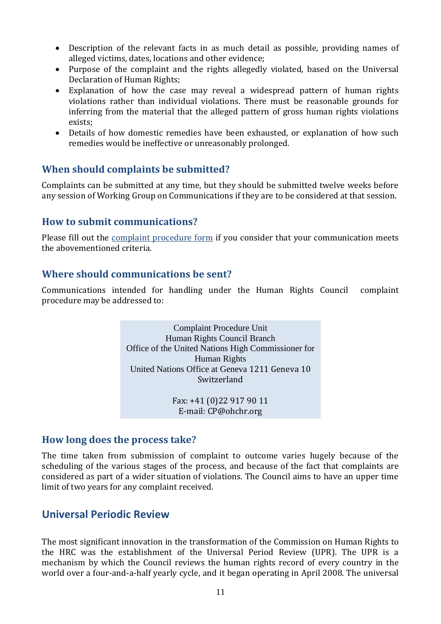- Description of the relevant facts in as much detail as possible, providing names of alleged victims, dates, locations and other evidence;
- Purpose of the complaint and the rights allegedly violated, based on the Universal Declaration of Human Rights;
- Explanation of how the case may reveal a widespread pattern of human rights violations rather than individual violations. There must be reasonable grounds for inferring from the material that the alleged pattern of gross human rights violations exists;
- Details of how domestic remedies have been exhausted, or explanation of how such remedies would be ineffective or unreasonably prolonged.

#### **When should complaints be submitted?**

Complaints can be submitted at any time, but they should be submitted twelve weeks before any session of Working Group on Communications if they are to be considered at that session.

#### **How to submit communications?**

Please fill out the **complaint procedure form** if you consider that your communication meets the abovementioned criteria.

#### **Where should communications be sent?**

Communications intended for handling under the Human Rights Council complaint procedure may be addressed to:

> Complaint Procedure Unit Human Rights Council Branch Office of the United Nations High Commissioner for Human Rights United Nations Office at Geneva 1211 Geneva 10 Switzerland

> > Fax: +41 (0)22 917 90 11 E-mail: [CP@ohchr.org](mailto:CP@ohchr.org)

#### **How long does the process take?**

The time taken from submission of complaint to outcome varies hugely because of the scheduling of the various stages of the process, and because of the fact that complaints are considered as part of a wider situation of violations. The Council aims to have an upper time limit of two years for any complaint received.

#### **Universal Periodic Review**

The most significant innovation in the transformation of the Commission on Human Rights to the HRC was the establishment of the Universal Period Review (UPR). The UPR is a mechanism by which the Council reviews the human rights record of every country in the world over a four-and-a-half yearly cycle, and it began operating in April 2008. The universal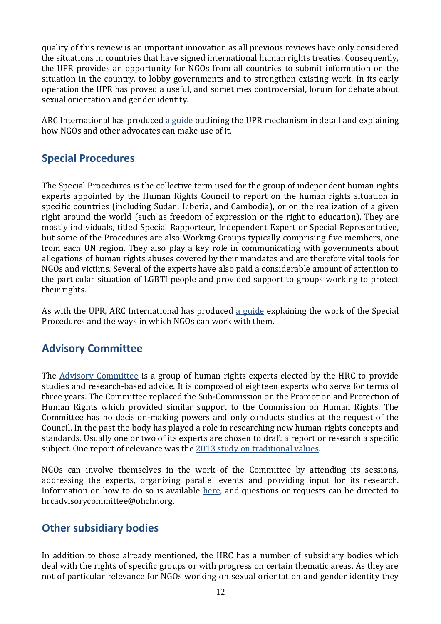quality of this review is an important innovation as all previous reviews have only considered the situations in countries that have signed international human rights treaties. Consequently, the UPR provides an opportunity for NGOs from all countries to submit information on the situation in the country, to lobby governments and to strengthen existing work. In its early operation the UPR has proved a useful, and sometimes controversial, forum for debate about sexual orientation and gender identity.

ARC International has produced [a guide](http://arc-international.net/strengthening-capacity/facilitation-and-training) outlining the UPR mechanism in detail and explaining how NGOs and other advocates can make use of it.

# **Special Procedures**

The Special Procedures is the collective term used for the group of independent human rights experts appointed by the Human Rights Council to report on the human rights situation in specific countries (including Sudan, Liberia, and Cambodia), or on the realization of a given right around the world (such as freedom of expression or the right to education). They are mostly individuals, titled Special Rapporteur, Independent Expert or Special Representative, but some of the Procedures are also Working Groups typically comprising five members, one from each UN region. They also play a key role in communicating with governments about allegations of human rights abuses covered by their mandates and are therefore vital tools for NGOs and victims. Several of the experts have also paid a considerable amount of attention to the particular situation of LGBTI people and provided support to groups working to protect their rights.

As with the UPR, ARC International has produced [a guide](http://arc-international.net/strengthening-capacity/facilitation-and-training) explaining the work of the Special Procedures and the ways in which NGOs can work with them.

# **Advisory Committee**

The [Advisory Committee](http://www2.ohchr.org/english/bodies/hrcouncil/advisorycommittee.htm) is a group of human rights experts elected by the HRC to provide studies and research-based advice. It is composed of eighteen experts who serve for terms of three years. The Committee replaced the Sub-Commission on the Promotion and Protection of Human Rights which provided similar support to the Commission on Human Rights. The Committee has no decision-making powers and only conducts studies at the request of the Council. In the past the body has played a role in researching new human rights concepts and standards. Usually one or two of its experts are chosen to draft a report or research a specific subject. One report of relevance was the [2013 study on traditional values.](http://arc-international.net/global-advocacy/human-rights-council/hrc-advisory-committee)

NGOs can involve themselves in the work of the Committee by attending its sessions, addressing the experts, organizing parallel events and providing input for its research. Information on how to do so is available [here,](http://www2.ohchr.org/english/bodies/hrcouncil/advisorycommittee/ngo_participation.htm) and questions or requests can be directed to [hrcadvisorycommittee@ohchr.org.](mailto:hrcadvisorycommittee@ohchr.org)

# **Other subsidiary bodies**

In addition to those already mentioned, the HRC has a number of subsidiary bodies which deal with the rights of specific groups or with progress on certain thematic areas. As they are not of particular relevance for NGOs working on sexual orientation and gender identity they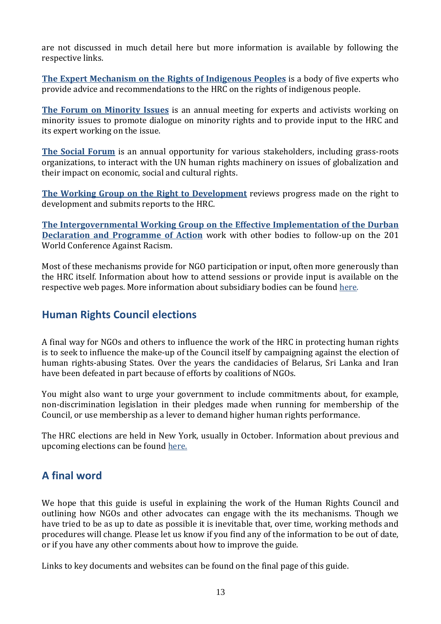are not discussed in much detail here but more information is available by following the respective links.

**[The Expert Mechanism on the Rights of Indigenous Peoples](http://www2.ohchr.org/english/issues/indigenous/ExpertMechanism/index.htm)** is a body of five experts who provide advice and recommendations to the HRC on the rights of indigenous people.

**[The Forum on Minority Issues](http://www.ohchr.org/EN/HRBodies/HRC/Minority/Pages/ForumIndex.aspx)** is an annual meeting for experts and activists working on minority issues to promote dialogue on minority rights and to provide input to the HRC and its expert working on the issue.

**[The Social Forum](http://www.ohchr.org/EN/Issues/Poverty/SForum/Pages/SForumIndex.aspx)** is an annual opportunity for various stakeholders, including grass-roots organizations, to interact with the UN human rights machinery on issues of globalization and their impact on economic, social and cultural rights.

**[The Working Group on the Right to Development](http://www.ohchr.org/EN/Issues/Development/Pages/WGRightToDevelopment.aspx)** reviews progress made on the right to development and submits reports to the HRC.

**[The Intergovernmental Working Group on the Effective Implementation of the Durban](http://www.ohchr.org/EN/Issues/Racism/IntergovWG/Pages/IWGIndex.aspx)  [Declaration and Programme of Action](http://www.ohchr.org/EN/Issues/Racism/IntergovWG/Pages/IWGIndex.aspx)** work with other bodies to follow-up on the 201 World Conference Against Racism.

Most of these mechanisms provide for NGO participation or input, often more generously than the HRC itself. Information about how to attend sessions or provide input is available on the respective web pages. More information about subsidiary bodies can be found [here.](http://www2.ohchr.org/english/bodies/chr/workinggroups.htm)

### **Human Rights Council elections**

A final way for NGOs and others to influence the work of the HRC in protecting human rights is to seek to influence the make-up of the Council itself by campaigning against the election of human rights-abusing States. Over the years the candidacies of Belarus, Sri Lanka and Iran have been defeated in part because of efforts by coalitions of NGOs.

You might also want to urge your government to include commitments about, for example, non-discrimination legislation in their pledges made when running for membership of the Council, or use membership as a lever to demand higher human rights performance.

The HRC elections are held in New York, usually in October. Information about previous and upcoming elections can be found [here.](http://www.ohchr.org/EN/HRBodies/HRC/Pages/HRCElections.aspx)

# **A final word**

We hope that this guide is useful in explaining the work of the Human Rights Council and outlining how NGOs and other advocates can engage with the its mechanisms. Though we have tried to be as up to date as possible it is inevitable that, over time, working methods and procedures will change. Please let us know if you find any of the information to be out of date, or if you have any other comments about how to improve the guide.

Links to key documents and websites can be found on the final page of this guide.